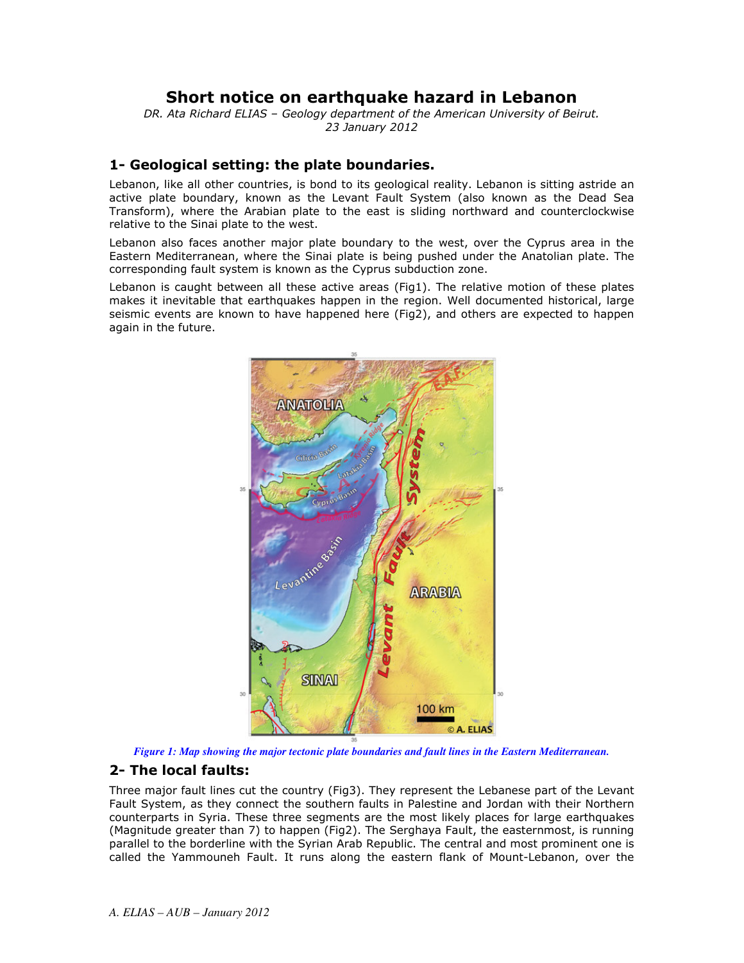# Short notice on earthquake hazard in Lebanon

DR. Ata Richard ELIAS - Geology department of the American University of Beirut. 23 January 2012

#### 1- Geological setting: the plate boundaries.

Lebanon, like all other countries, is bond to its geological reality. Lebanon is sitting astride an active plate boundary, known as the Levant Fault System (also known as the Dead Sea Transform), where the Arabian plate to the east is sliding northward and counterclockwise relative to the Sinai plate to the west.

Lebanon also faces another major plate boundary to the west, over the Cyprus area in the Eastern Mediterranean, where the Sinai plate is being pushed under the Anatolian plate. The corresponding fault system is known as the Cyprus subduction zone.

Lebanon is caught between all these active areas (Fig1). The relative motion of these plates makes it inevitable that earthquakes happen in the region. Well documented historical, large seismic events are known to have happened here (Fig2), and others are expected to happen again in the future.





### 2- The local faults:

Three major fault lines cut the country (Fig3). They represent the Lebanese part of the Levant Fault System, as they connect the southern faults in Palestine and Jordan with their Northern counterparts in Syria. These three segments are the most likely places for large earthquakes (Magnitude greater than 7) to happen (Fig2). The Serghaya Fault, the easternmost, is running parallel to the borderline with the Syrian Arab Republic. The central and most prominent one is called the Yammouneh Fault. It runs along the eastern flank of Mount-Lebanon, over the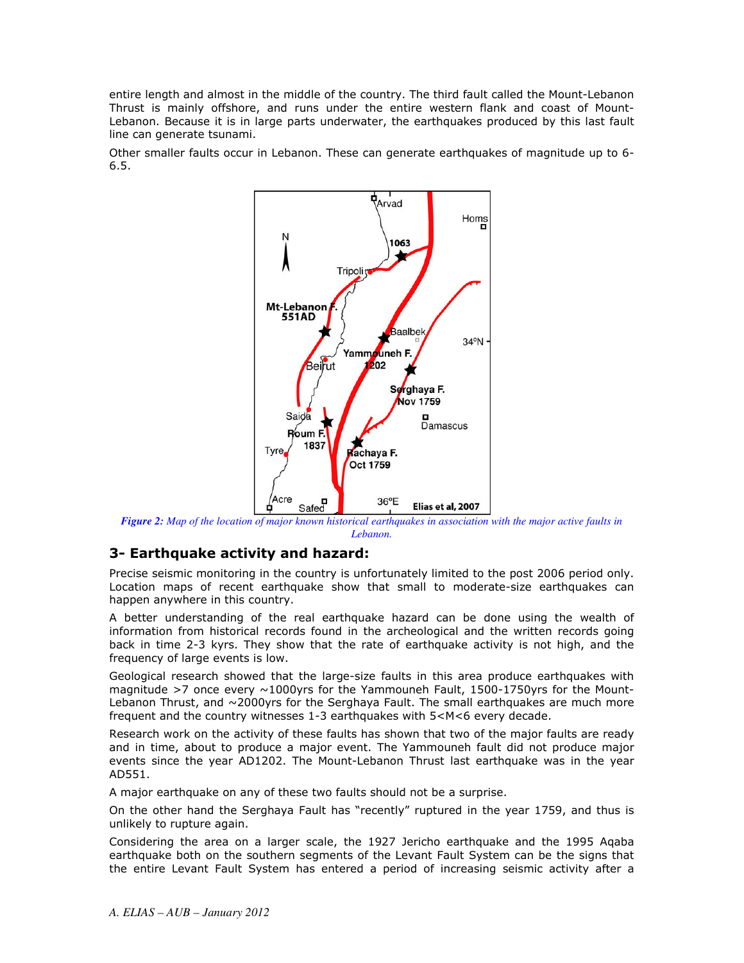entire length and almost in the middle of the country. The third fault called the Mount-Lebanon Thrust is mainly offshore, and runs under the entire western flank and coast of Mount-Lebanon. Because it is in large parts underwater, the earthquakes produced by this last fault line can generate tsunami.

Other smaller faults occur in Lebanon. These can generate earthquakes of magnitude up to 6- $6.5.$ 



Figure 2: Map of the location of major known historical earthquakes in association with the major active faults in *Lebanon.*

### 3- Earthquake activity and hazard:

Precise seismic monitoring in the country is unfortunately limited to the post 2006 period only. Location maps of recent earthquake show that small to moderate-size earthquakes can happen anywhere in this country.

A better understanding of the real earthquake hazard can be done using the wealth of information from historical records found in the archeological and the written records going back in time 2-3 kyrs. They show that the rate of earthquake activity is not high, and the frequency of large events is low.

Geological research showed that the large-size faults in this area produce earthquakes with magnitude >7 once every  $\sim$ 1000yrs for the Yammouneh Fault, 1500-1750yrs for the Mount-Lebanon Thrust, and  $\sim$ 2000yrs for the Serghaya Fault. The small earthquakes are much more frequent and the country witnesses 1-3 earthquakes with  $5<$ M<6 every decade.

Research work on the activity of these faults has shown that two of the major faults are ready and in time, about to produce a major event. The Yammouneh fault did not produce major events since the year AD1202. The Mount-Lebanon Thrust last earthquake was in the year AD551.

A major earthquake on any of these two faults should not be a surprise.

On the other hand the Serghaya Fault has "recently" ruptured in the year 1759, and thus is unlikely to rupture again.

Considering the area on a larger scale, the 1927 Jericho earthquake and the 1995 Aqaba earthquake both on the southern segments of the Levant Fault System can be the signs that the entire Levant Fault System has entered a period of increasing seismic activity after a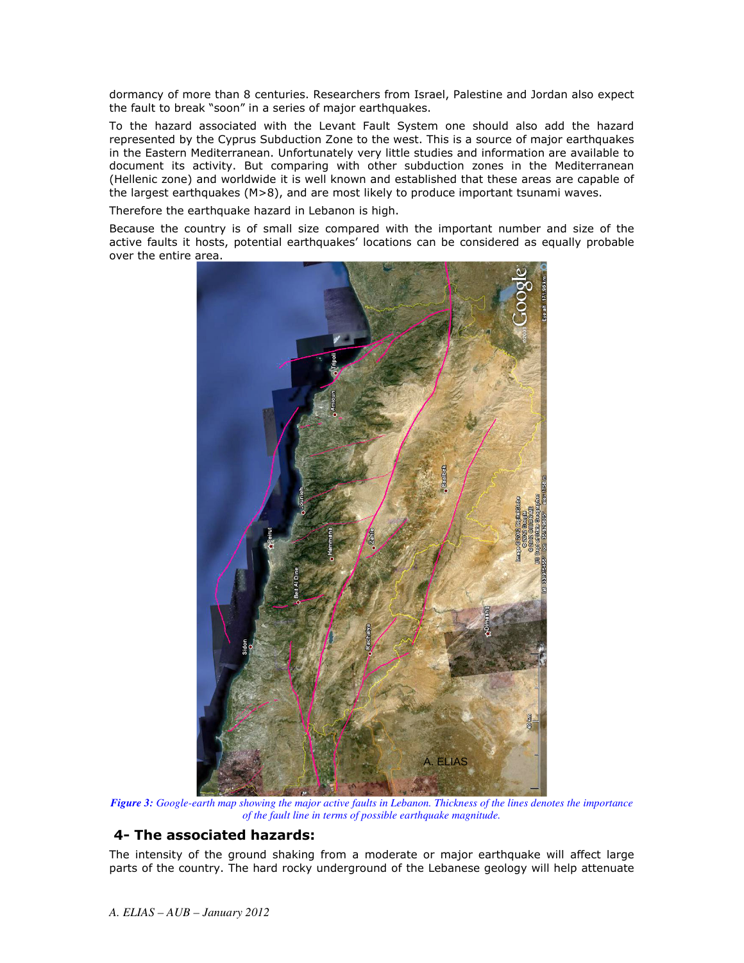dormancy of more than 8 centuries. Researchers from Israel, Palestine and Jordan also expect the fault to break "soon" in a series of major earthquakes.

To the hazard associated with the Levant Fault System one should also add the hazard represented by the Cyprus Subduction Zone to the west. This is a source of major earthquakes in the Eastern Mediterranean. Unfortunately very little studies and information are available to document its activity. But comparing with other subduction zones in the Mediterranean (Hellenic zone) and worldwide it is well known and established that these areas are capable of the largest earthquakes (M>8), and are most likely to produce important tsunami waves.

Therefore the earthquake hazard in Lebanon is high.

Because the country is of small size compared with the important number and size of the active faults it hosts, potential earthquakes' locations can be considered as equally probable over the entire area.



Figure 3: Google-earth map showing the major active faults in Lebanon. Thickness of the lines denotes the importance of the fault line in terms of possible earthquake magnitude.

## 4- The associated hazards:

The intensity of the ground shaking from a moderate or major earthquake will affect large parts of the country. The hard rocky underground of the Lebanese geology will help attenuate